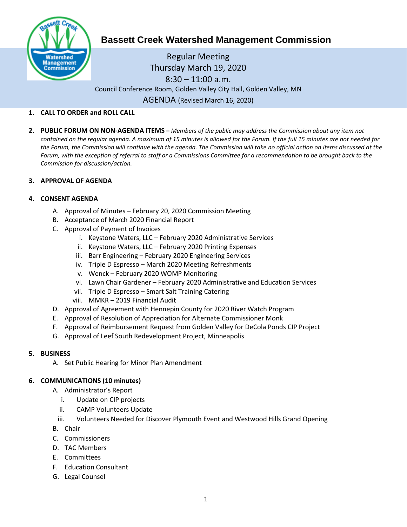

# **Bassett Creek Watershed Management Commission**

Regular Meeting Thursday March 19, 2020  $8:30 - 11:00$  a.m. Council Conference Room, Golden Valley City Hall, Golden Valley, MN AGENDA (Revised March 16, 2020)

## **1. CALL TO ORDER and ROLL CALL**

**2. PUBLIC FORUM ON NON-AGENDA ITEMS –** *Members of the public may address the Commission about any item not contained on the regular agenda. A maximum of 15 minutes is allowed for the Forum. If the full 15 minutes are not needed for the Forum, the Commission will continue with the agenda. The Commission will take no official action on items discussed at the Forum, with the exception of referral to staff or a Commissions Committee for a recommendation to be brought back to the Commission for discussion/action.*

# **3. APPROVAL OF AGENDA**

# **4. CONSENT AGENDA**

- A. Approval of Minutes February 20, 2020 Commission Meeting
- B. Acceptance of March 2020 Financial Report
- C. Approval of Payment of Invoices
	- i. Keystone Waters, LLC February 2020 Administrative Services
	- ii. Keystone Waters, LLC February 2020 Printing Expenses
	- iii. Barr Engineering February 2020 Engineering Services
	- iv. Triple D Espresso March 2020 Meeting Refreshments
	- v. Wenck February 2020 WOMP Monitoring
	- vi. Lawn Chair Gardener February 2020 Administrative and Education Services
	- vii. Triple D Espresso Smart Salt Training Catering
	- viii. MMKR 2019 Financial Audit
- D. Approval of Agreement with Hennepin County for 2020 River Watch Program
- E. Approval of Resolution of Appreciation for Alternate Commissioner Monk
- F. Approval of Reimbursement Request from Golden Valley for DeCola Ponds CIP Project
- G. Approval of Leef South Redevelopment Project, Minneapolis

### **5. BUSINESS**

A. Set Public Hearing for Minor Plan Amendment

### **6. COMMUNICATIONS (10 minutes)**

- A. Administrator's Report
	- i. Update on CIP projects
	- ii. CAMP Volunteers Update
	- iii. Volunteers Needed for Discover Plymouth Event and Westwood Hills Grand Opening
- B. Chair
- C. Commissioners
- D. TAC Members
- E. Committees
- F. Education Consultant
- G. Legal Counsel